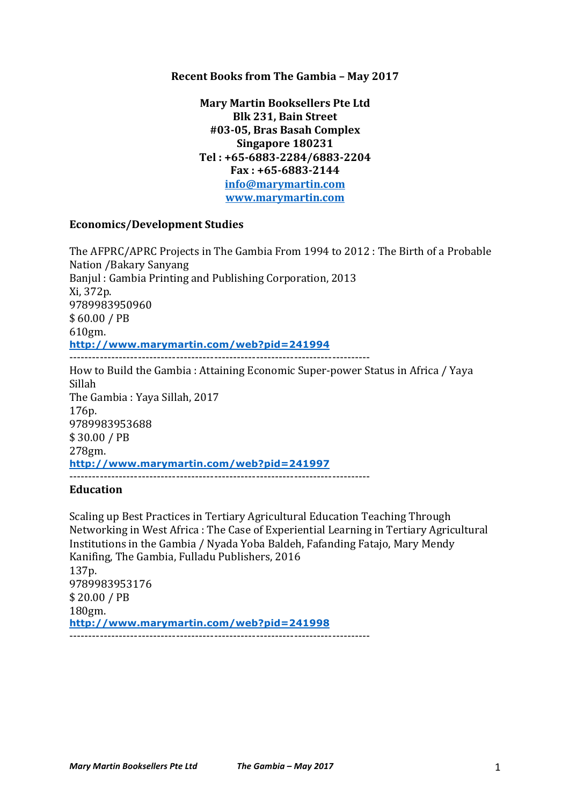## **Recent Books from The Gambia - May 2017**

**Mary Martin Booksellers Pte Ltd Blk 231, Bain Street #03-05, Bras Basah Complex Singapore 180231 Tel : +65-6883-2284/6883-2204 Fax : +65-6883-2144 info@marymartin.com www.marymartin.com**

## **Economics/Development Studies**

The AFPRC/APRC Projects in The Gambia From 1994 to 2012 : The Birth of a Probable Nation /Bakary Sanyang Banjul : Gambia Printing and Publishing Corporation, 2013 Xi, 372p. 9789983950960 \$ 60.00 / PB 610gm. **http://www.marymartin.com/web?pid=241994** ------------------------------------------------------------------------------- How to Build the Gambia : Attaining Economic Super-power Status in Africa / Yaya Sillah

The Gambia: Yaya Sillah, 2017 176p. 9789983953688 \$ 30.00 / PB 278gm. **http://www.marymartin.com/web?pid=241997** ------------------------------------------------------------------------------- 

## **Education**

Scaling up Best Practices in Tertiary Agricultural Education Teaching Through Networking in West Africa : The Case of Experiential Learning in Tertiary Agricultural Institutions in the Gambia / Nyada Yoba Baldeh, Fafanding Fatajo, Mary Mendy Kanifing, The Gambia, Fulladu Publishers, 2016 137p. 9789983953176 \$ 20.00 / PB 180gm. **http://www.marymartin.com/web?pid=241998**  $-$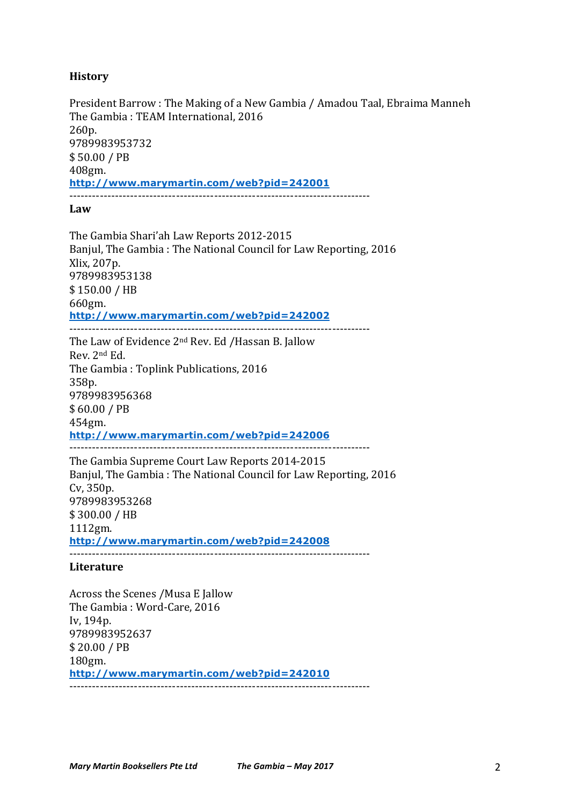# **History**

President Barrow : The Making of a New Gambia / Amadou Taal, Ebraima Manneh The Gambia: TEAM International, 2016 260p. 9789983953732 \$ 50.00 / PB 408gm. **http://www.marymartin.com/web?pid=242001** ------------------------------------------------------------------------------- 

**Law**

The Gambia Shari'ah Law Reports 2012-2015 Banjul, The Gambia: The National Council for Law Reporting, 2016 Xlix, 207p. 9789983953138 \$ 150.00 / HB 660gm. **http://www.marymartin.com/web?pid=242002** ------------------------------------------------------------------------------- 

The Law of Evidence 2<sup>nd</sup> Rev. Ed /Hassan B. Jallow Rev.  $2<sup>nd</sup>$  Ed. The Gambia: Toplink Publications, 2016 358p. 9789983956368 \$ 60.00 / PB 454gm. **http://www.marymartin.com/web?pid=242006** ------------------------------------------------------------------------------- 

The Gambia Supreme Court Law Reports 2014-2015 Banjul, The Gambia: The National Council for Law Reporting, 2016  $Cv. 350p.$ 9789983953268 \$ 300.00 / HB 1112gm. **http://www.marymartin.com/web?pid=242008** ------------------------------------------------------------------------------- 

## **Literature**

Across the Scenes /Musa E Jallow The Gambia: Word-Care, 2016 Iv,  $194p$ . 9789983952637 \$ 20.00 / PB 180gm. **http://www.marymartin.com/web?pid=242010** -------------------------------------------------------------------------------